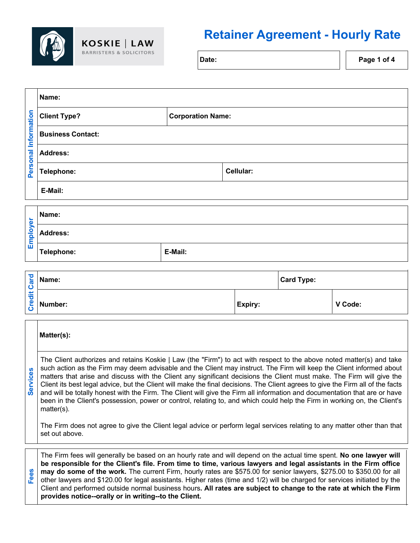

 $\mathbf{I}$ 

## **Retainer Agreement - Hourly Rate**

Date: **Page 1** of 4

 $\overline{\phantom{a}}$ 

| Information<br>Personal | Name:                    |                          |           |  |
|-------------------------|--------------------------|--------------------------|-----------|--|
|                         | <b>Client Type?</b>      | <b>Corporation Name:</b> |           |  |
|                         | <b>Business Contact:</b> |                          |           |  |
|                         | <b>Address:</b>          |                          |           |  |
|                         | Telephone:               |                          | Cellular: |  |
|                         | E-Mail:                  |                          |           |  |
|                         |                          |                          |           |  |
|                         | Name:                    |                          |           |  |

| $\overline{a}$<br>olo<br>面 | Name:           |         |
|----------------------------|-----------------|---------|
|                            | <b>Address:</b> |         |
|                            | Telephone:      | E-Mail: |

| ъ<br>$\overline{\mathbb{R}}$<br>嵩 | $\leq$ Name:                 |                | <b>Card Type:</b> |         |
|-----------------------------------|------------------------------|----------------|-------------------|---------|
|                                   | $\frac{e}{\sqrt{2}}$ Number: | <b>Expiry:</b> |                   | V Code: |

| <b>Services</b> | Matter(s):                                                                                                                                                                                                                                                                                                                                                                                                                                                                                                                                                                                                                                                                                                                                                                            |  |  |
|-----------------|---------------------------------------------------------------------------------------------------------------------------------------------------------------------------------------------------------------------------------------------------------------------------------------------------------------------------------------------------------------------------------------------------------------------------------------------------------------------------------------------------------------------------------------------------------------------------------------------------------------------------------------------------------------------------------------------------------------------------------------------------------------------------------------|--|--|
|                 | The Client authorizes and retains Koskie   Law (the "Firm") to act with respect to the above noted matter(s) and take<br>such action as the Firm may deem advisable and the Client may instruct. The Firm will keep the Client informed about<br>matters that arise and discuss with the Client any significant decisions the Client must make. The Firm will give the<br>Client its best legal advice, but the Client will make the final decisions. The Client agrees to give the Firm all of the facts<br>and will be totally honest with the Firm. The Client will give the Firm all information and documentation that are or have<br>been in the Client's possession, power or control, relating to, and which could help the Firm in working on, the Client's<br>$matter(s)$ . |  |  |
|                 | The Firm does not agree to give the Client legal advice or perform legal services relating to any matter other than that<br>set out above.                                                                                                                                                                                                                                                                                                                                                                                                                                                                                                                                                                                                                                            |  |  |
|                 |                                                                                                                                                                                                                                                                                                                                                                                                                                                                                                                                                                                                                                                                                                                                                                                       |  |  |
| Fees            | The Firm fees will generally be based on an hourly rate and will depend on the actual time spent. No one lawyer will<br>be responsible for the Client's file. From time to time, various lawyers and legal assistants in the Firm office<br>may do some of the work. The current Firm, hourly rates are \$575.00 for senior lawyers, \$275.00 to \$350.00 for all<br>other lawyers and \$120.00 for legal assistants. Higher rates (time and 1/2) will be charged for services initiated by the                                                                                                                                                                                                                                                                                       |  |  |

Client and performed outside normal business hours**. All rates are subject to change to the rate at which the Firm** 

**provides notice--orally or in writing--to the Client.**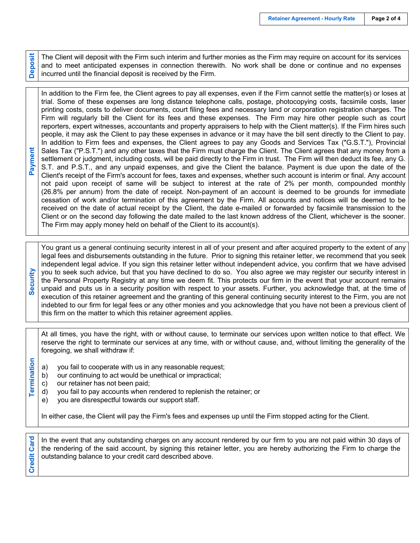**Deposit**

The Client will deposit with the Firm such interim and further monies as the Firm may require on account for its services and to meet anticipated expenses in connection therewith. No work shall be done or continue and no expenses incurred until the financial deposit is received by the Firm.

**Payment** In addition to the Firm fee, the Client agrees to pay all expenses, even if the Firm cannot settle the matter(s) or loses at trial. Some of these expenses are long distance telephone calls, postage, photocopying costs, facsimile costs, laser printing costs, costs to deliver documents, court filing fees and necessary land or corporation registration charges. The Firm will regularly bill the Client for its fees and these expenses. The Firm may hire other people such as court reporters, expert witnesses, accountants and property appraisers to help with the Client matter(s). If the Firm hires such people, it may ask the Client to pay these expenses in advance or it may have the bill sent directly to the Client to pay. In addition to Firm fees and expenses, the Client agrees to pay any Goods and Services Tax ("G.S.T."), Provincial Sales Tax ("P.S.T.") and any other taxes that the Firm must charge the Client. The Client agrees that any money from a settlement or judgment, including costs, will be paid directly to the Firm in trust. The Firm will then deduct its fee, any G. S.T. and P.S.T., and any unpaid expenses, and give the Client the balance. Payment is due upon the date of the Client's receipt of the Firm's account for fees, taxes and expenses, whether such account is interim or final. Any account not paid upon receipt of same will be subject to interest at the rate of 2% per month, compounded monthly (26.8% per annum) from the date of receipt. Non-payment of an account is deemed to be grounds for immediate cessation of work and/or termination of this agreement by the Firm. All accounts and notices will be deemed to be received on the date of actual receipt by the Client, the date e-mailed or forwarded by facsimile transmission to the Client or on the second day following the date mailed to the last known address of the Client, whichever is the sooner. The Firm may apply money held on behalf of the Client to its account(s).

**Security** You grant us a general continuing security interest in all of your present and after acquired property to the extent of any legal fees and disbursements outstanding in the future. Prior to signing this retainer letter, we recommend that you seek independent legal advice. If you sign this retainer letter without independent advice, you confirm that we have advised you to seek such advice, but that you have declined to do so. You also agree we may register our security interest in the Personal Property Registry at any time we deem fit. This protects our firm in the event that your account remains unpaid and puts us in a security position with respect to your assets. Further, you acknowledge that, at the time of execution of this retainer agreement and the granting of this general continuing security interest to the Firm, you are not indebted to our firm for legal fees or any other monies and you acknowledge that you have not been a previous client of this firm on the matter to which this retainer agreement applies.

At all times, you have the right, with or without cause, to terminate our services upon written notice to that effect. We reserve the right to terminate our services at any time, with or without cause, and, without limiting the generality of the foregoing, we shall withdraw if:

- ermination **Termination** a) you fail to cooperate with us in any reasonable request;
	- b) our continuing to act would be unethical or impractical;
	- c) our retainer has not been paid;
	- d) you fail to pay accounts when rendered to replenish the retainer; or
	- e) you are disrespectful towards our support staff.

In either case, the Client will pay the Firm's fees and expenses up until the Firm stopped acting for the Client.

**Credit Card** In the event that any outstanding charges on any account rendered by our firm to you are not paid within 30 days of **Credit Card** the rendering of the said account, by signing this retainer letter, you are hereby authorizing the Firm to charge the outstanding balance to your credit card described above.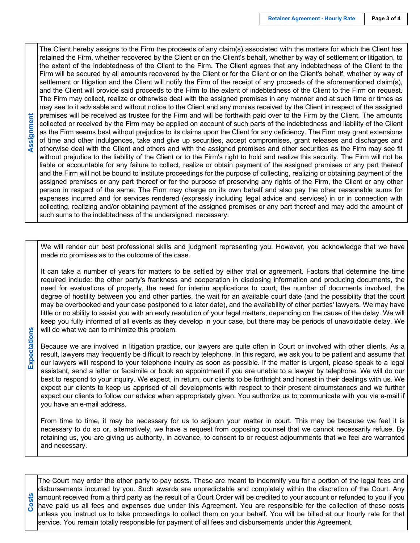**Costs Expectations Assignment** Assignment

Expectations

The Client hereby assigns to the Firm the proceeds of any claim(s) associated with the matters for which the Client has retained the Firm, whether recovered by the Client or on the Client's behalf, whether by way of settlement or litigation, to the extent of the indebtedness of the Client to the Firm. The Client agrees that any indebtedness of the Client to the Firm will be secured by all amounts recovered by the Client or for the Client or on the Client's behalf, whether by way of settlement or litigation and the Client will notify the Firm of the receipt of any proceeds of the aforementioned claim(s), and the Client will provide said proceeds to the Firm to the extent of indebtedness of the Client to the Firm on request. The Firm may collect, realize or otherwise deal with the assigned premises in any manner and at such time or times as may see to it advisable and without notice to the Client and any monies received by the Client in respect of the assigned premises will be received as trustee for the Firm and will be forthwith paid over to the Firm by the Client. The amounts collected or received by the Firm may be applied on account of such parts of the indebtedness and liability of the Client as the Firm seems best without prejudice to its claims upon the Client for any deficiency. The Firm may grant extensions of time and other indulgences, take and give up securities, accept compromises, grant releases and discharges and otherwise deal with the Client and others and with the assigned premises and other securities as the Firm may see fit without prejudice to the liability of the Client or to the Firm's right to hold and realize this security. The Firm will not be liable or accountable for any failure to collect, realize or obtain payment of the assigned premises or any part thereof and the Firm will not be bound to institute proceedings for the purpose of collecting, realizing or obtaining payment of the assigned premises or any part thereof or for the purpose of preserving any rights of the Firm, the Client or any other person in respect of the same. The Firm may charge on its own behalf and also pay the other reasonable sums for expenses incurred and for services rendered (expressly including legal advice and services) in or in connection with collecting, realizing and/or obtaining payment of the assigned premises or any part thereof and may add the amount of such sums to the indebtedness of the undersigned. necessary.

We will render our best professional skills and judgment representing you. However, you acknowledge that we have made no promises as to the outcome of the case.

It can take a number of years for matters to be settled by either trial or agreement. Factors that determine the time required include: the other party's frankness and cooperation in disclosing information and producing documents, the need for evaluations of property, the need for interim applications to court, the number of documents involved, the degree of hostility between you and other parties, the wait for an available court date (and the possibility that the court may be overbooked and your case postponed to a later date), and the availability of other parties' lawyers. We may have little or no ability to assist you with an early resolution of your legal matters, depending on the cause of the delay. We will keep you fully informed of all events as they develop in your case, but there may be periods of unavoidable delay. We will do what we can to minimize this problem.

Because we are involved in litigation practice, our lawyers are quite often in Court or involved with other clients. As a result, lawyers may frequently be difficult to reach by telephone. In this regard, we ask you to be patient and assume that our lawyers will respond to your telephone inquiry as soon as possible. If the matter is urgent, please speak to a legal assistant, send a letter or facsimile or book an appointment if you are unable to a lawyer by telephone. We will do our best to respond to your inquiry. We expect, in return, our clients to be forthright and honest in their dealings with us. We expect our clients to keep us apprised of all developments with respect to their present circumstances and we further expect our clients to follow our advice when appropriately given. You authorize us to communicate with you via e-mail if you have an e-mail address.

From time to time, it may be necessary for us to adjourn your matter in court. This may be because we feel it is necessary to do so or, alternatively, we have a request from opposing counsel that we cannot necessarily refuse. By retaining us, you are giving us authority, in advance, to consent to or request adjournments that we feel are warranted and necessary.

The Court may order the other party to pay costs. These are meant to indemnify you for a portion of the legal fees and disbursements incurred by you. Such awards are unpredictable and completely within the discretion of the Court. Any amount received from a third party as the result of a Court Order will be credited to your account or refunded to you if you have paid us all fees and expenses due under this Agreement. You are responsible for the collection of these costs unless you instruct us to take proceedings to collect them on your behalf. You will be billed at our hourly rate for that service. You remain totally responsible for payment of all fees and disbursements under this Agreement.